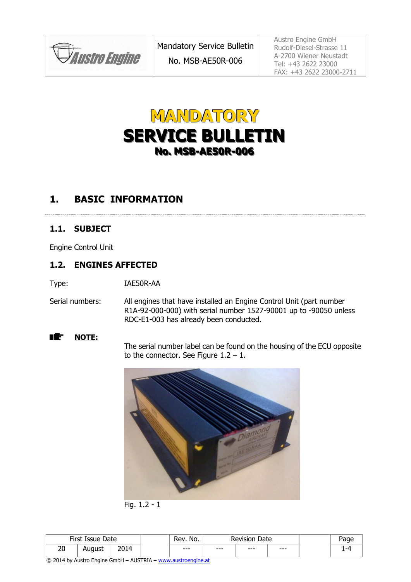

# **MANDATORY SERVICE BULLETIN No. MSB-AE50R-006**

#### **1. BASIC INFORMATION**

#### **1.1. SUBJECT**

Engine Control Unit

#### **1.2. ENGINES AFFECTED**

Type: IAE50R-AA

Serial numbers: All engines that have installed an Engine Control Unit (part number R1A-92-000-000) with serial number 1527-90001 up to -90050 unless RDC-E1-003 has already been conducted.

■鑑 **NOTE:**

The serial number label can be found on the housing of the ECU opposite to the connector. See Figure  $1.2 - 1$ .



Fig. 1.2 - 1

| First Issue<br>Date |        | No.<br>Rev  | Date<br><b>Revision</b> |        |       |       |  |
|---------------------|--------|-------------|-------------------------|--------|-------|-------|--|
| חר<br>۷J            | August | 2014<br>∠∪⊥ | $-- -$                  | $-- -$ | $---$ | $---$ |  |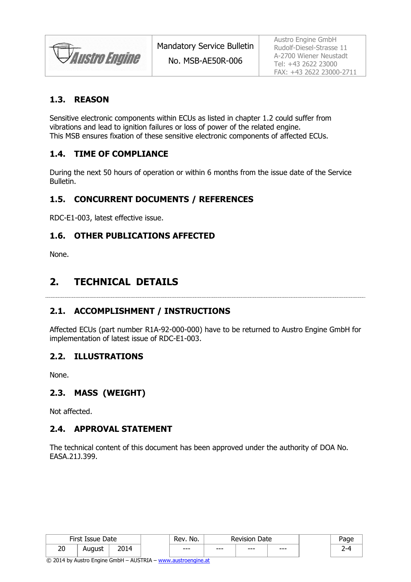**JAustro Engine** 

No. MSB-AE50R-006

#### **1.3. REASON**

Sensitive electronic components within ECUs as listed in chapter 1.2 could suffer from vibrations and lead to ignition failures or loss of power of the related engine. This MSB ensures fixation of these sensitive electronic components of affected ECUs.

#### <span id="page-1-1"></span>**1.4. TIME OF COMPLIANCE**

During the next 50 hours of operation or within 6 months from the issue date of the Service **Bulletin** 

#### **1.5. CONCURRENT DOCUMENTS / REFERENCES**

RDC-E1-003, latest effective issue.

#### **1.6. OTHER PUBLICATIONS AFFECTED**

None.

#### **2. TECHNICAL DETAILS**

#### <span id="page-1-0"></span>**2.1. ACCOMPLISHMENT / INSTRUCTIONS**

Affected ECUs (part number R1A-92-000-000) have to be returned to Austro Engine GmbH for implementation of latest issue of RDC-E1-003.

#### **2.2. ILLUSTRATIONS**

None.

#### **2.3. MASS (WEIGHT)**

Not affected.

#### **2.4. APPROVAL STATEMENT**

The technical content of this document has been approved under the authority of DOA No. EASA.21J.399.

| First<br>Date<br>Issue |        | No.<br>Rev. | Date<br>Revision |        | age   |     |   |
|------------------------|--------|-------------|------------------|--------|-------|-----|---|
| 20                     | August | חר          | $-- -$           | $-- -$ | $---$ | --- | ∽ |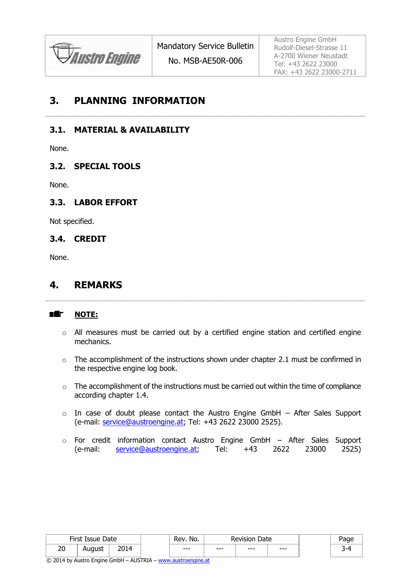

No. MSB-AE50R-006

Austro Engine GmbH Rudolf-Diesel-Strasse 11 A-2700 Wiener Neustadt Tel: +43 2622 23000 FAX: +43 2622 23000-2711

#### **3. PLANNING INFORMATION**

**3.1. MATERIAL & AVAILABILITY**

None.

#### **3.2. SPECIAL TOOLS**

None.

#### **3.3. LABOR EFFORT**

Not specified.

#### **3.4. CREDIT**

None.

#### **4. REMARKS**

#### 瞻 **NOTE:**

- o All measures must be carried out by a certified engine station and certified engine mechanics.
- o The accomplishment of the instructions shown under chapter [2.1](#page-1-0) must be confirmed in the respective engine log book.
- $\circ$  The accomplishment of the instructions must be carried out within the time of compliance according chapter [1.4.](#page-1-1)
- $\circ$  In case of doubt please contact the Austro Engine GmbH After Sales Support (e-mail: [service@austroengine.at;](mailto:service@austroengine.at) Tel: +43 2622 23000 2525).
- o For credit information contact Austro Engine GmbH After Sales Support (e-mail: [service@austroengine.at;](mailto:service@austroengine.at) Tel: +43 2622 23000 2525)

| First Issue<br>Date |        | No.<br>Rev   | Date<br>Revision |        |       |       |  |
|---------------------|--------|--------------|------------------|--------|-------|-------|--|
| 20                  | August | ---<br>_____ | $---$            | $-- -$ | $---$ | $---$ |  |